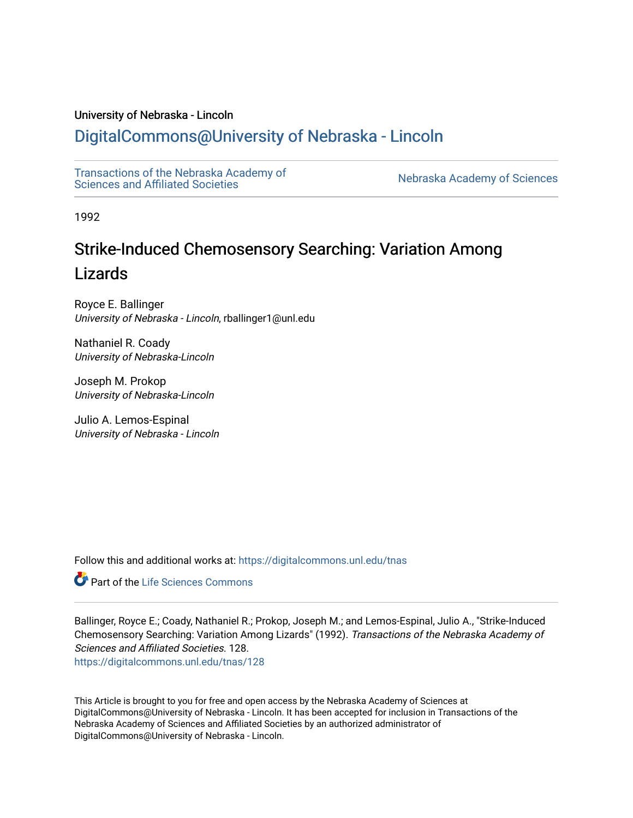# University of Nebraska - Lincoln

# [DigitalCommons@University of Nebraska - Lincoln](https://digitalcommons.unl.edu/)

[Transactions of the Nebraska Academy of](https://digitalcommons.unl.edu/tnas)  Transactions of the Nebraska Academy of Sciences<br>Sciences and Affiliated Societies

1992

# Strike-Induced Chemosensory Searching: Variation Among Lizards

Royce E. Ballinger University of Nebraska - Lincoln, rballinger1@unl.edu

Nathaniel R. Coady University of Nebraska-Lincoln

Joseph M. Prokop University of Nebraska-Lincoln

Julio A. Lemos-Espinal University of Nebraska - Lincoln

Follow this and additional works at: [https://digitalcommons.unl.edu/tnas](https://digitalcommons.unl.edu/tnas?utm_source=digitalcommons.unl.edu%2Ftnas%2F128&utm_medium=PDF&utm_campaign=PDFCoverPages) 

**C** Part of the Life Sciences Commons

Ballinger, Royce E.; Coady, Nathaniel R.; Prokop, Joseph M.; and Lemos-Espinal, Julio A., "Strike-Induced Chemosensory Searching: Variation Among Lizards" (1992). Transactions of the Nebraska Academy of Sciences and Affiliated Societies. 128.

[https://digitalcommons.unl.edu/tnas/128](https://digitalcommons.unl.edu/tnas/128?utm_source=digitalcommons.unl.edu%2Ftnas%2F128&utm_medium=PDF&utm_campaign=PDFCoverPages) 

This Article is brought to you for free and open access by the Nebraska Academy of Sciences at DigitalCommons@University of Nebraska - Lincoln. It has been accepted for inclusion in Transactions of the Nebraska Academy of Sciences and Affiliated Societies by an authorized administrator of DigitalCommons@University of Nebraska - Lincoln.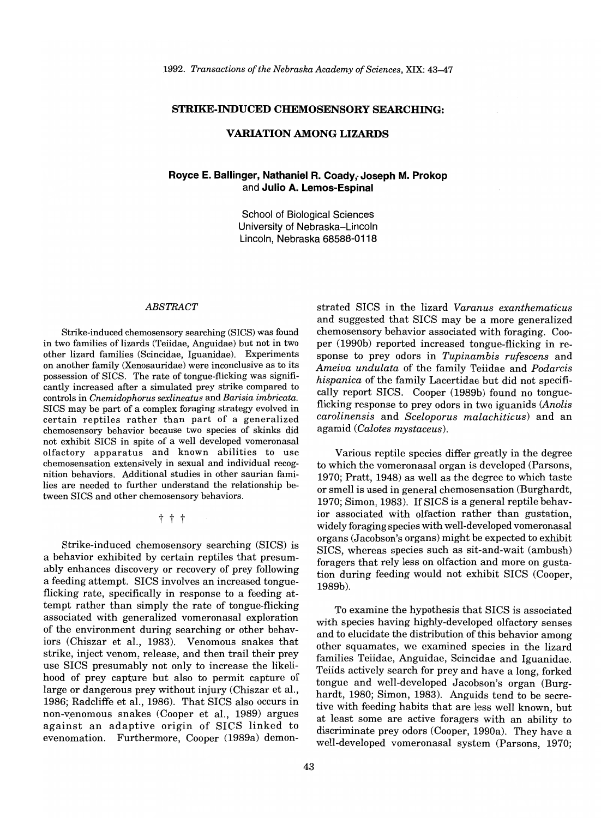#### **STRIKE-INDUCED CHEMOSENSORY SEARCHING:**

# **VARIATION AMONG LIZARDS**

# Royce E. Ballinger, Nathaniel R. Coady, Joseph M. Prokop and **JUlio A. Lemos-Espinal**

School of Biological Sciences University of Nebraska-Lincoln Lincoln, Nebraska 68588-0118

#### *ABSTRACT*

Strike-induced chemosensory searching (SICS) was found in two families of lizards (Teiidae, Anguidae) but not in two other lizard families (Scincidae, Iguanidae). Experiments on another family (Xenosauridae) were inconclusive as to its possession of SICS. The rate of tongue-flicking was significantly increased after a simulated prey strike compared to controls in *Cnemidophorus sexlineatus* and *Barisia imbricata.*  SICS may be part of a complex foraging strategy evolved in certain reptiles rather than part of a generalized chemosensory behavior because two species of skinks did not exhibit SICS in spite of a well developed vomeronasal olfactory apparatus and known abilities to use chemosensation extensively in sexual and individual recognition behaviors. Additional studies in other saurian families are needed to further understand the relationship between SICS and other chemosensory behaviors.

t t t

Strike-induced chemosensory searching (SICS) is a behavior exhibited by certain reptiles that presumably enhances discovery or recovery of prey following a feeding attempt. SICS involves an increased tongueflicking rate, specifically in response to a feeding attempt rather than simply the rate of tongue-flicking associated with generalized vomeronasal exploration of the environment during searching or other behaviors (Chiszar et aI., 1983). Venomous snakes that strike, inject venom, release, and then trail their prey use SICS presumably not only to increase the likelihood of prey capture but also to permit capture of large or dangerous prey without injury (Chiszar et aI., 1986; Radcliffe et aI., 1986). That SICS also occurs in non-venomous snakes (Cooper et aI., 1989) argues against an adaptive origin of SICS linked to evenomation. Furthermore, Cooper (1989a) demon-

strated SICS in the lizard *Varanus exanthematicus*  and suggested that SICS may be a more generalized chemosensory behavior associated with foraging. Cooper (1990b) reported increased tongue-flicking in response to prey odors in *Tupinambis rufescens* and *Ameiva undulata* of the family Teiidae and *Podarcis hispanica* of the family Lacertidae but did not specifically report SICS. Cooper (1989b) found no tongueflicking response to prey odors in two iguanids *(Anolis carolinensis* and *Sceloporus malachiticus)* and an agamid *(Calotes mystaceus).* 

Various reptile species differ greatly in the degree to which the vomeronasal organ is developed (Parsons, 1970; Pratt, 1948) as well as the degree to which taste or smell is used in general chemosensation (Burghardt, 1970; Simon, 1983). If SICS is a general reptile behavior associated with olfaction rather than gustation, widely foraging species with well-developed vomeronasal organs (Jacobson's organs) might be expected to exhibit SICS, whereas species such as sit-and-wait (ambush) foragers that rely less on olfaction and more on gustation during feeding would not exhibit SICS (Cooper, 1989b).

To examine the hypothesis that SICS is associated with species having highly-developed olfactory senses and to elucidate the distribution of this behavior among other squamates, we examined species in the lizard families Teiidae, Anguidae, Scincidae and Iguanidae. Teiids actively search for prey and have a long, forked tongue and well-developed Jacobson's organ (Burghardt, 1980; Simon, 1983). Anguids tend to be secretive with feeding habits that are less well known, but at least some are active foragers with an ability to discriminate prey odors (Cooper, 1990a). They have a well-developed vomeronasal system (Parsons, 1970;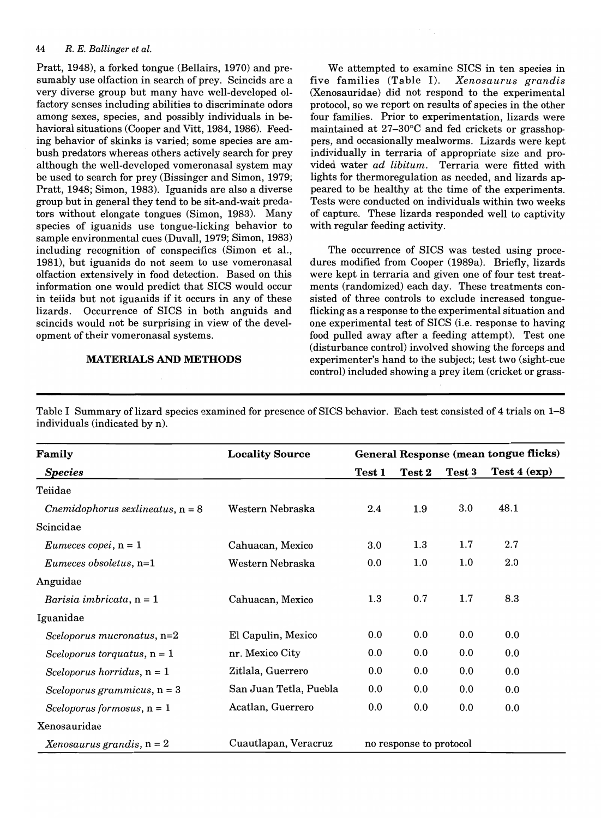#### *44 R. E. Ballinger et al.*

Pratt, 1948), a forked tongue (Bellairs, 1970) and presumably use olfaction in search of prey. Scincids are a very diverse group but many have well-developed olfactory senses including abilities to discriminate odors among sexes, species, and possibly individuals in behavioral situations (Cooper and Vitt, 1984, 1986). Feeding behavior of skinks is varied; some species are ambush predators whereas others actively search for prey although the well-developed vomeronasal system may be used to search for prey (Bissinger and Simon, 1979; Pratt, 1948; Simon, 1983). Iguanids are also a diverse group but in general they tend to be sit-and-wait predators without elongate tongues (Simon, 1983). Many species of iguanids use tongue-licking behavior to sample environmental cues (Duvall, 1979; Simon, 1983) including recognition of conspecifics (Simon et aI., 1981), but iguanids do not seem to use vomeronasal olfaction extensively in food detection. Based on this information one would predict that SICS would occur in teiids but not iguanids if it occurs in any of these lizards. Occurrence of SICS in both anguids and scincids would not be surprising in view of the development of their vomeronasal systems.

#### MATERIALS AND METHODS

We attempted to examine SICS in ten species in five families (Table I). *Xenosaurus grandis*  (Xenosauridae) did not respond to the experimental protocol, so we report on results of species in the other four families. Prior to experimentation, lizards were maintained at  $27-30$ °C and fed crickets or grasshoppers, and occasionally mealworms. Lizards were kept individually in terraria of appropriate size and provided water *ad libitum.* Terraria were fitted with lights for thermoregulation as needed, and lizards appeared to be healthy at the time of the experiments. Tests were conducted on individuals within two weeks of capture. These lizards responded well to captivity with regular feeding activity.

The occurrence of SICS was tested using procedures modified from Cooper (1989a). Briefly, lizards were kept in terraria and given one of four test treatments (randomized) each day. These treatments consisted of three controls to exclude increased tongueflicking as a response to the experimental situation and one experimental test of SICS (i.e. response to having food pulled away after a feeding attempt). Test one (disturbance control) involved showing the forceps and experimenter's hand to the subject; test two (sight-cue control) included showing a prey item (cricket or grass-

Table I Summary of lizard species examined for presence of SICS behavior. Each test consisted of 4 trials on 1–8 individuals (indicated by n).

| Family                                | <b>Locality Source</b> | General Response (mean tongue flicks) |                         |         |              |  |
|---------------------------------------|------------------------|---------------------------------------|-------------------------|---------|--------------|--|
| <b>Species</b>                        |                        | Test 1                                | <b>Test 2</b>           | Test 3  | Test 4 (exp) |  |
| Teiidae                               |                        |                                       |                         |         |              |  |
| $Chemidophorus \; sexlineatus, n = 8$ | Western Nebraska       | 2.4                                   | 1.9                     | $3.0\,$ | 48.1         |  |
| Scincidae                             |                        |                                       |                         |         |              |  |
| <i>Eumeces copei</i> , $n = 1$        | Cahuacan, Mexico       | $3.0\,$                               | 1.3                     | 1.7     | 2.7          |  |
| Eumeces obsoletus, $n=1$              | Western Nebraska       | 0.0                                   | 1.0                     | $1.0\,$ | $2.0\,$      |  |
| Anguidae                              |                        |                                       |                         |         |              |  |
| Barisia imbricata, $n = 1$            | Cahuacan, Mexico       | $1.3\,$                               | 0.7                     | 1.7     | 8.3          |  |
| Iguanidae                             |                        |                                       |                         |         |              |  |
| Sceloporus mucronatus, n=2            | El Capulin, Mexico     | 0.0                                   | 0.0                     | 0.0     | 0.0          |  |
| Sceloporus torquatus, $n = 1$         | nr. Mexico City        | 0.0                                   | 0.0                     | 0.0     | 0.0          |  |
| Sceloporus horridus, $n = 1$          | Zitlala, Guerrero      | 0.0                                   | 0.0                     | 0.0     | 0.0          |  |
| Sceloporus grammicus, $n = 3$         | San Juan Tetla, Puebla | 0.0                                   | 0.0                     | 0.0     | 0.0          |  |
| Sceloporus formosus, $n = 1$          | Acatlan, Guerrero      | 0.0                                   | 0.0                     | 0.0     | 0.0          |  |
| Xenosauridae                          |                        |                                       |                         |         |              |  |
| Xenosaurus grandis, $n = 2$           | Cuautlapan, Veracruz   |                                       | no response to protocol |         |              |  |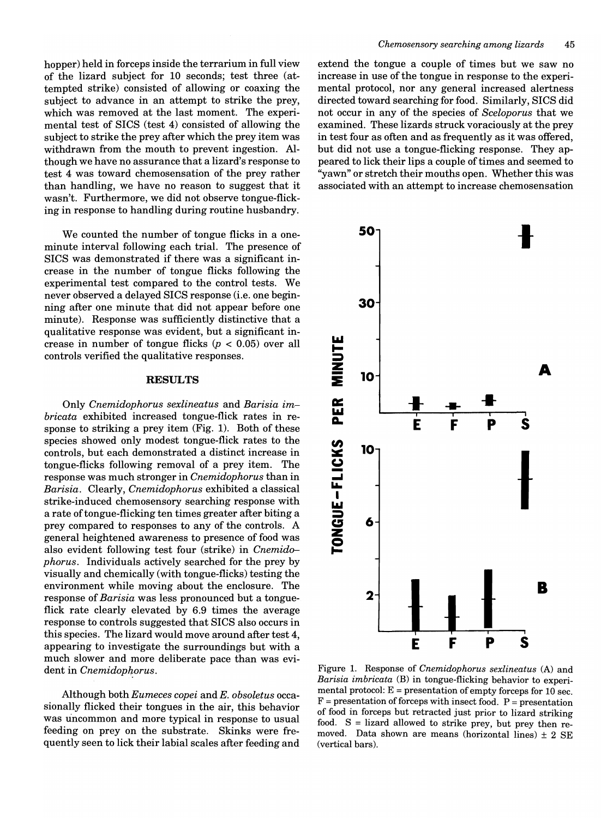hopper) held in forceps inside the terrarium in full view of the lizard subject for 10 seconds; test three (attempted strike) consisted of allowing or coaxing the subject to advance in an attempt to strike the prey, which was removed at the last moment. The experimental test of SICS (test 4) consisted of allowing the subject to strike the prey after which the prey item was withdrawn from the mouth to prevent ingestion. Although we have no assurance that a lizard's response to test 4 was toward chemosensation of the prey rather than handling, we have no reason to suggest that it wasn't. Furthermore, we did not observe tongue-flicking in response to handling during routine husbandry.

We counted the number of tongue flicks in a oneminute interval following each trial. The presence of SICS was demonstrated if there was a significant increase in the number of tongue flicks following the experimental test compared to the control tests. We never observed a delayed SICS response (i.e. one beginning after one minute that did not appear before one minute). Response was sufficiently distinctive that a qualitative response was evident, but a significant increase in number of tongue flicks *(p* < 0.05) over all controls verified the qualitative responses.

# **RESULTS**

Only *Cnemidophorus sexlineatus* and *Barisia imbricata* exhibited increased tongue-flick rates in response to striking a prey item (Fig. 1). Both of these species showed only modest tongue-flick rates to the controls, but each demonstrated a distinct increase in tongue-flicks following removal of a prey item. The response was much stronger in *Cnemidophorus* than in *Barisia.* Clearly, *Cnemidophorus* exhibited a classical strike-induced chemosensory searching response with a rate of tongue-flicking ten times greater after biting a prey compared to responses to any of the controls. A general heightened awareness to presence of food was also evident following test four (strike) in *Cnemidophorus.* Individuals actively searched for the prey by visually and chemically (with tongue-flicks) testing the environment while moving about the enclosure. The response of *Barisia* was less pronounced but a tongueflick rate clearly elevated by 6.9 times the average response to controls suggested that SICS also occurs in this species. The lizard would move around after test 4, appearing to investigate the surroundings but with a much slower and more deliberate pace than was evident in *Cnemidopkorus.* 

Although both *Eumeces copei* and *E. obsoletus* occasionally flicked their tongues in the air, this behavior was uncommon and more typical in response to usual feeding on prey on the substrate. Skinks were frequently seen to lick their labial scales after feeding and

extend the tongue a couple of times but we saw no increase in use of the tongue in response to the experimental protocol, nor any general increased alertness directed toward searching for food. Similarly, SICS did not occur in any of the species of *Sceloporus* that we examined. These lizards struck voraciously at the prey in test four as often and as frequently as it was offered, but did not use a tongue-flicking response. They appeared to lick their lips a couple of times and seemed to "yawn" or stretch their mouths open. Whether this was associated with an attempt to increase chemosensation



Figure 1. Response of *Cnemidophorus sexlineatus* (A) and *Barisia imbricata* (B) in tongue-flicking behavior to experimental protocol:  $E =$  presentation of empty forceps for 10 sec.  $F =$  presentation of forceps with insect food.  $P =$  presentation of food in forceps but retracted just prior to lizard striking food. S = lizard allowed to strike prey, but prey then removed. Data shown are means (horizontal lines)  $\pm$  2 SE (vertical bars).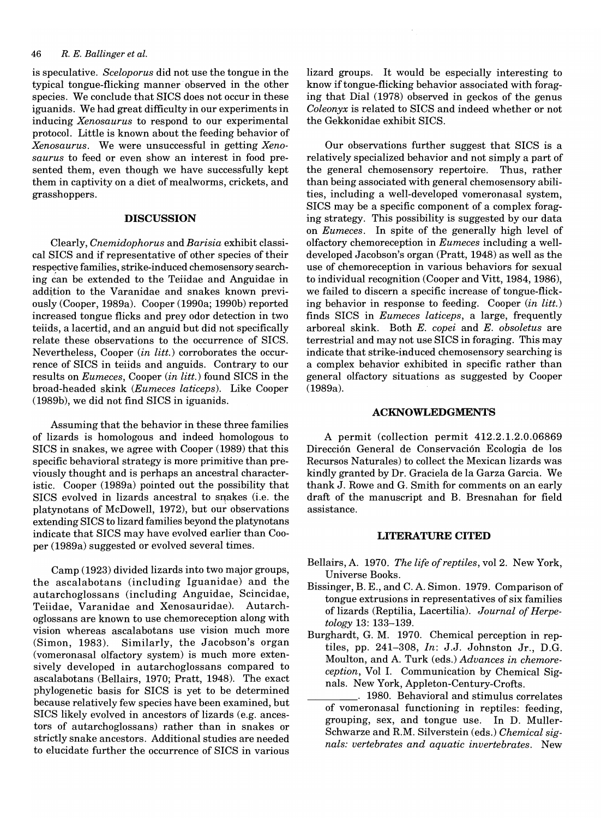#### *46 R. E. Ballinger et al.*

is speculative. *Sceloporus* did not use the tongue in the typical tongue-flicking manner observed in the other species. We conclude that SICS does not occur in these iguanids. We had great difficulty in our experiments in inducing *Xenosaurus* to respond to our experimental protocol. Little is known about the feeding behavior of *Xenosaurus.* We were unsuccessful in getting *Xenosaurus* to feed or even show an interest in food presented them, even though we have successfully kept them in captivity on a diet of mealworms, crickets, and grasshoppers.

# **DISCUSSION**

Clearly, *Cnemidophorus* and *Barisia* exhibit classical SICS and if representative of other species of their respective families, strike-induced chemosensory searching can be extended to the Teiidae and Anguidae in addition to the Varanidae and snakes known previously (Cooper, 1989a). Cooper (1990a; 1990b) reported increased tongue flicks and prey odor detection in two teiids, a lacertid, and an anguid but did not specifically relate these observations to the occurrence of SICS. Nevertheless, Cooper *(in litt.)* corroborates the occurrence of SICS in teiids and anguids. Contrary to our results on *Eumeces,* Cooper *(in litt.)* found SICS in the broad-headed skink *(Eumeces laticeps).* Like Cooper (1989b), we did not find SICS in iguanids.

Assuming that the behavior in these three families of lizards is homologous and indeed homologous to SICS in snakes, we agree with Cooper (1989) that this specific behavioral strategy is more primitive than previously thought and is perhaps an ancestral characteristic. Cooper (1989a) pointed out the possibility that SICS evolved in lizards ancestral to snakes (i.e. the platynotans of McDowell, 1972), but our observations extending SICS to lizard families beyond the platynotans indicate that SICS may have evolved earlier than Cooper (1989a) suggested or evolved several times.

Camp (1923) divided lizards into two major groups, the ascalabotans (including Iguanidae) and the autarchoglossans (including Anguidae, Scincidae, Teiidae, Varanidae and Xenosauridae). Autarchoglossans are known to use chemoreception along with vision whereas ascalabotans use vision much more (Simon, 1983). Similarly, the Jacobson's organ (vomeronasal olfactory system) is much more extensively developed in autarchoglossans compared to ascalabotans (Bellairs, 1970; Pratt, 1948). The exact phylogenetic basis for SICS is yet to be determined because relatively few species have been examined, but SICS likely evolved in ancestors of lizards (e.g. ancestors of autarchoglossans) rather than in snakes or strictly snake ancestors. Additional studies are needed to elucidate further the occurrence of SICS in various

lizard groups. It would be especially interesting to know if tongue-flicking behavior associated with foraging that Dial (1978) observed in geckos of the genus *Coleonyx* is related to SICS and indeed whether or not the Gekkonidae exhibit SICS.

Our observations further suggest that SICS is a relatively specialized behavior and not simply a part of the general chemosensory repertoire. Thus, rather than being associated with general chemosensory abilities, including a well-developed vomeronasal system, SICS may be a specific component of a complex foraging strategy. This possibility is suggested by our data on *Eumeces.* In spite of the generally high level of olfactory chemoreception in *Eumeces* including a welldeveloped Jacobson's organ (Pratt, 1948) as well as the use of chemoreception in various behaviors for sexual to individual recognition (Cooper and Vitt, 1984, 1986), we failed to discern a specific increase of tongue-flicking behavior in response to feeding. Cooper *(in litt.)*  finds SICS in *Eumeces laticeps,* a large, frequently arboreal skink. Both *E. copei* and *E. obsoletus* are terrestrial and may not use SICS in foraging. This may indicate that strike-induced chemosensory searching is a complex behavior exhibited in specific rather than general olfactory situations as suggested by Cooper (1989a).

# **ACKNOWLEDGMENTS**

A permit (collection permit 412.2.1.2.0.06869 Dirección General de Conservación Ecologia de los Recursos Naturales) to collect the Mexican lizards was kindly granted by Dr. Graciela de la Garza Garcia. We thank J. Rowe and G. Smith for comments on an early draft of the manuscript and B. Bresnahan for field assistance.

#### **LITERATURE CITED**

- Bellairs, A. 1970. *The life of reptiles,* vol 2. New York, Universe Books.
- Bissinger, B. E., and C. A. Simon. 1979. Comparison of tongue extrusions in representatives of six families of lizards (Reptilia, Lacertilia). *Journal of Herpetology* 13: 133-139.
- Burghardt, G. M. 1970. Chemical perception in reptiles, pp. 241-308, *In:* J.J. Johnston Jr., D.G. Moulton, and A. Turk (eds.) *Advances in chemore*ception, Vol I. Communication by Chemical Signals. New York, Appleton-Century-Crofts.
	- \_\_\_\_\_ . 1980. Behavioral and stimulus correlates of vomeronasal functioning in reptiles: feeding, grouping, sex, and tongue use. In D. Muller-Schwarze and R.M. Silverstein (eds.) *Chemical signals: vertebrates and aquatic invertebrates.* New